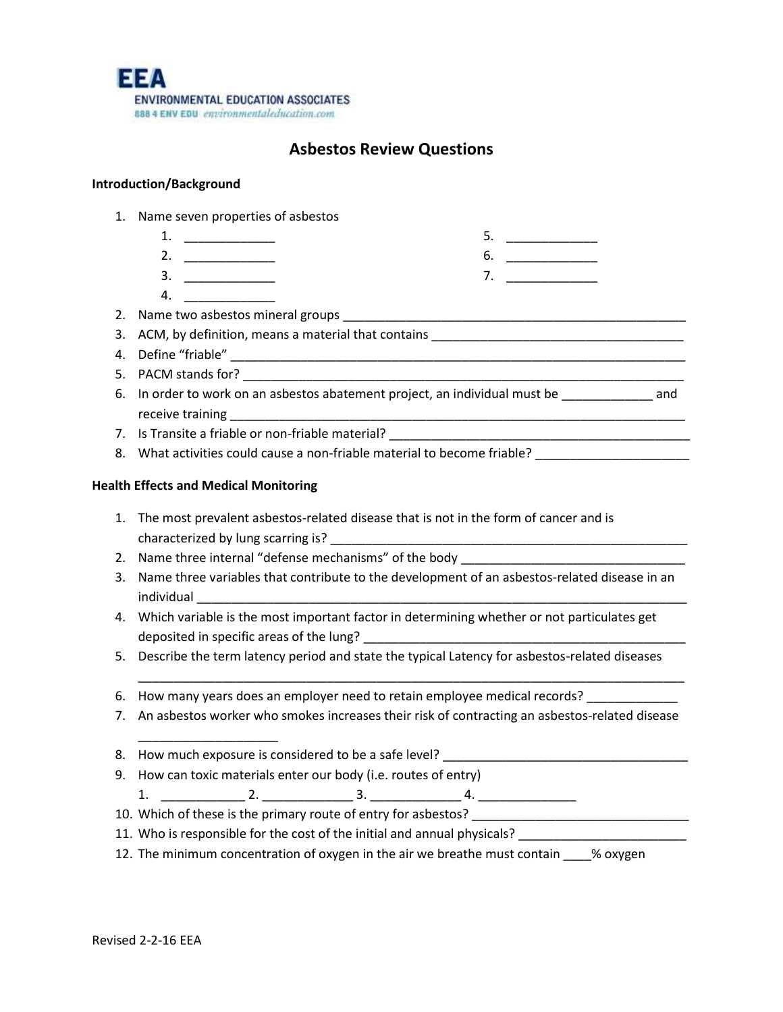

# **Asbestos Review Questions**

# **Introduction/Background**

- 1. Name seven properties of asbestos
	- 1. \_\_\_\_\_\_\_\_\_\_\_\_\_ 2. \_\_\_\_\_\_\_\_\_\_\_\_\_ 5. \_\_\_\_\_\_\_\_\_\_\_\_\_ 6.  $\qquad$
	- $3.$ 7. \_\_\_\_\_\_\_\_\_\_\_\_\_
	- 4. \_\_\_\_\_\_\_\_\_\_\_\_\_
- 2. Name two asbestos mineral groups **Example 2.** Name of the state of the state of the state of the state of the state of the state of the state of the state of the state of the state of the state of the state of the state
- 3. ACM, by definition, means a material that contains \_\_\_\_\_\_\_\_\_\_\_\_\_\_\_\_\_\_\_\_\_\_\_\_\_\_
- 4. Define "friable" \_\_\_\_\_\_\_\_\_\_\_\_\_\_\_\_\_\_\_\_\_\_\_\_\_\_\_\_\_\_\_\_\_\_\_\_\_\_\_\_\_\_\_\_\_\_\_\_\_\_\_\_\_\_\_\_\_\_\_\_\_\_\_\_\_
- 5. PACM stands for?
- 6. In order to work on an asbestos abatement project, an individual must be \_\_\_\_\_\_\_\_\_\_\_\_\_ and receive training
- 7. Is Transite a friable or non-friable material?
- 8. What activities could cause a non-friable material to become friable?

# **Health Effects and Medical Monitoring**

\_\_\_\_\_\_\_\_\_\_\_\_\_\_\_\_\_\_\_\_

- 1. The most prevalent asbestos-related disease that is not in the form of cancer and is characterized by lung scarring is?
- 2. Name three internal "defense mechanisms" of the body
- 3. Name three variables that contribute to the development of an asbestos-related disease in an individual
- 4. Which variable is the most important factor in determining whether or not particulates get deposited in specific areas of the lung?
- 5. Describe the term latency period and state the typical Latency for asbestos-related diseases
- 6. How many years does an employer need to retain employee medical records?
- 7. An asbestos worker who smokes increases their risk of contracting an asbestos-related disease

\_\_\_\_\_\_\_\_\_\_\_\_\_\_\_\_\_\_\_\_\_\_\_\_\_\_\_\_\_\_\_\_\_\_\_\_\_\_\_\_\_\_\_\_\_\_\_\_\_\_\_\_\_\_\_\_\_\_\_\_\_\_\_\_\_\_\_\_\_\_\_\_\_\_\_\_\_\_

- 8. How much exposure is considered to be a safe level? \_\_\_\_\_\_\_\_\_\_\_\_\_\_\_\_\_\_\_\_\_\_\_\_\_\_\_\_\_\_\_\_\_\_\_
- 9. How can toxic materials enter our body (i.e. routes of entry)  $1.$   $2.$   $2.$   $3.$   $4.$
- 10. Which of these is the primary route of entry for asbestos? \_\_\_\_\_\_\_\_\_\_\_\_\_\_\_\_\_\_
- 11. Who is responsible for the cost of the initial and annual physicals?
- 12. The minimum concentration of oxygen in the air we breathe must contain \_\_\_\_% oxygen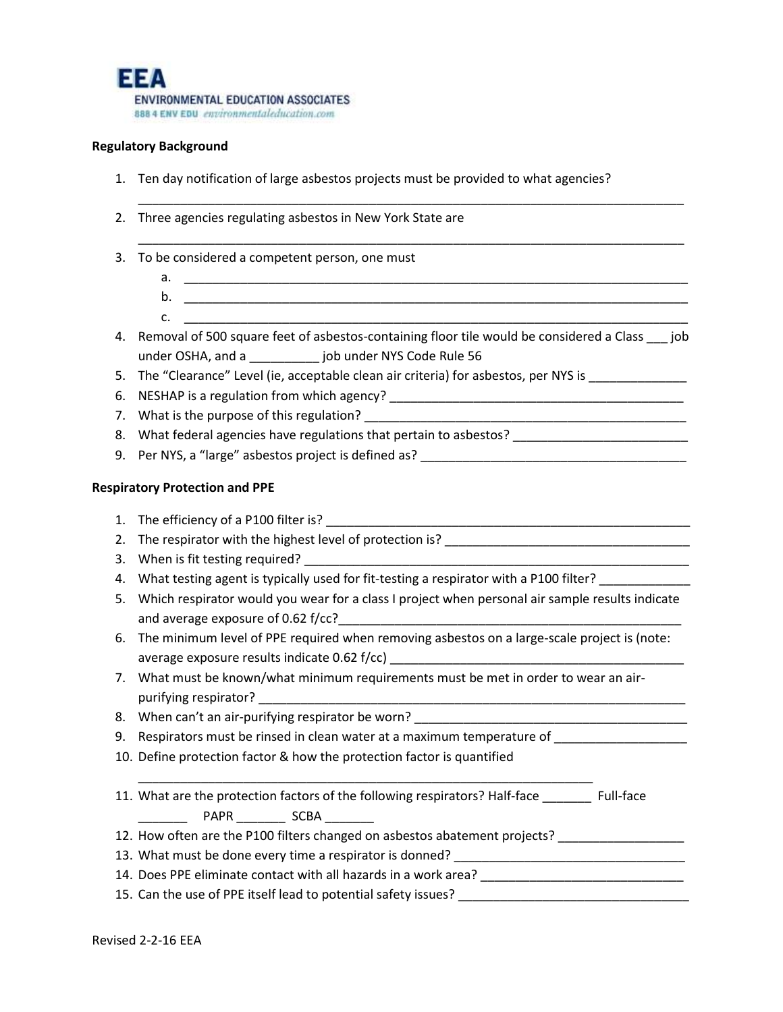

### **Regulatory Background**

- 1. Ten day notification of large asbestos projects must be provided to what agencies?
- 2. Three agencies regulating asbestos in New York State are
- 3. To be considered a competent person, one must
	- a.  $\Box$

c. \_\_\_\_\_\_\_\_\_\_\_\_\_\_\_\_\_\_\_\_\_\_\_\_\_\_\_\_\_\_\_\_\_\_\_\_\_\_\_\_\_\_\_\_\_\_\_\_\_\_\_\_\_\_\_\_\_\_\_\_\_\_\_\_\_\_\_\_\_\_\_\_

\_\_\_\_\_\_\_\_\_\_\_\_\_\_\_\_\_\_\_\_\_\_\_\_\_\_\_\_\_\_\_\_\_\_\_\_\_\_\_\_\_\_\_\_\_\_\_\_\_\_\_\_\_\_\_\_\_\_\_\_\_\_\_\_\_\_\_\_\_\_\_\_\_\_\_\_\_\_

\_\_\_\_\_\_\_\_\_\_\_\_\_\_\_\_\_\_\_\_\_\_\_\_\_\_\_\_\_\_\_\_\_\_\_\_\_\_\_\_\_\_\_\_\_\_\_\_\_\_\_\_\_\_\_\_\_\_\_\_\_\_\_\_\_\_\_\_\_\_\_\_\_\_\_\_\_\_

- b. \_\_\_\_\_\_\_\_\_\_\_\_\_\_\_\_\_\_\_\_\_\_\_\_\_\_\_\_\_\_\_\_\_\_\_\_\_\_\_\_\_\_\_\_\_\_\_\_\_\_\_\_\_\_\_\_\_\_\_\_\_\_\_\_\_\_\_\_\_\_\_\_
- 4. Removal of 500 square feet of asbestos-containing floor tile would be considered a Class \_\_\_ job under OSHA, and a \_\_\_\_\_\_\_\_\_\_ job under NYS Code Rule 56
- 5. The "Clearance" Level (ie, acceptable clean air criteria) for asbestos, per NYS is \_\_\_\_\_\_\_\_\_\_\_\_\_
- 6. NESHAP is a regulation from which agency? \_\_\_\_\_\_\_\_\_\_\_\_\_\_\_\_\_\_\_\_\_\_\_\_\_\_\_\_\_\_\_\_\_\_\_
- 7. What is the purpose of this regulation?
- 8. What federal agencies have regulations that pertain to asbestos? \_\_\_\_\_\_\_\_\_\_\_\_\_\_\_\_\_\_\_\_\_\_\_\_\_\_\_\_\_\_\_\_
- 9. Per NYS, a "large" asbestos project is defined as? \_\_\_\_\_\_\_\_\_\_\_\_\_\_\_\_\_\_\_\_\_\_\_\_\_\_

#### **Respiratory Protection and PPE**

- 1. The efficiency of a P100 filter is? 2. The respirator with the highest level of protection is? \_\_\_\_\_\_\_\_\_\_\_\_\_\_\_\_\_\_\_\_\_\_\_\_\_\_\_\_\_\_\_\_\_\_\_ 3. When is fit testing required?
	- 4. What testing agent is typically used for fit-testing a respirator with a P100 filter?
	- 5. Which respirator would you wear for a class I project when personal air sample results indicate and average exposure of 0.62 f/cc?
	- 6. The minimum level of PPE required when removing asbestos on a large-scale project is (note: average exposure results indicate  $0.62$  f/cc)
	- 7. What must be known/what minimum requirements must be met in order to wear an airpurifying respirator?
	- 8. When can't an air-purifying respirator be worn?
	- 9. Respirators must be rinsed in clean water at a maximum temperature of \_\_\_\_\_\_\_\_

\_\_\_\_\_\_\_\_\_\_\_\_\_\_\_\_\_\_\_\_\_\_\_\_\_\_\_\_\_\_\_\_\_\_\_\_\_\_\_\_\_\_\_\_\_\_\_\_\_\_\_\_\_\_\_\_\_\_\_\_\_\_\_\_\_

10. Define protection factor & how the protection factor is quantified

| 11. What are the protection factors of the following respirators? Half-face |      |  | Full-face |
|-----------------------------------------------------------------------------|------|--|-----------|
| PAPR                                                                        | SCBA |  |           |

12. How often are the P100 filters changed on asbestos abatement projects? \_\_\_\_\_\_\_\_\_\_\_\_\_\_\_\_\_\_\_\_\_\_\_\_\_

13. What must be done every time a respirator is donned? \_\_\_\_\_\_\_\_\_\_\_\_\_\_\_\_\_\_\_\_\_\_\_\_

14. Does PPE eliminate contact with all hazards in a work area? \_\_\_\_\_\_\_\_\_\_\_\_\_\_\_\_

15. Can the use of PPE itself lead to potential safety issues? \_\_\_\_\_\_\_\_\_\_\_\_\_\_\_\_\_\_\_\_\_\_\_\_\_\_\_\_\_\_\_\_\_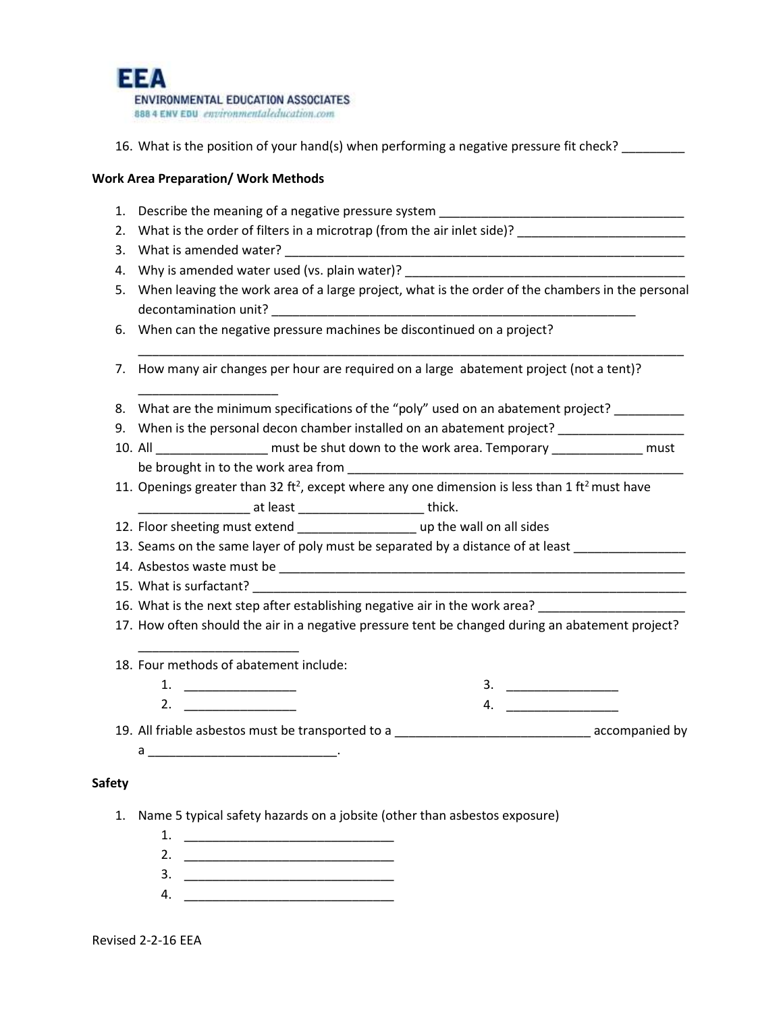

16. What is the position of your hand(s) when performing a negative pressure fit check?

#### **Work Area Preparation/ Work Methods**

- 1. Describe the meaning of a negative pressure system
- 2. What is the order of filters in a microtrap (from the air inlet side)?
- 3. What is amended water? \_\_\_\_\_\_\_\_\_\_\_\_\_\_\_\_\_\_\_\_\_\_\_\_\_\_\_\_\_\_\_\_\_\_\_\_\_\_\_\_\_\_\_\_\_\_\_\_\_\_\_\_\_\_\_\_\_

\_\_\_\_\_\_\_\_\_\_\_\_\_\_\_\_\_\_\_\_

- 4. Why is amended water used (vs. plain water)? \_\_\_\_\_\_\_\_\_\_\_
- 5. When leaving the work area of a large project, what is the order of the chambers in the personal decontamination unit?

\_\_\_\_\_\_\_\_\_\_\_\_\_\_\_\_\_\_\_\_\_\_\_\_\_\_\_\_\_\_\_\_\_\_\_\_\_\_\_\_\_\_\_\_\_\_\_\_\_\_\_\_\_\_\_\_\_\_\_\_\_\_\_\_\_\_\_\_\_\_\_\_\_\_\_\_\_\_

- 6. When can the negative pressure machines be discontinued on a project?
- 7. How many air changes per hour are required on a large abatement project (not a tent)?
- 8. What are the minimum specifications of the "poly" used on an abatement project?
- 9. When is the personal decon chamber installed on an abatement project? \_\_\_\_\_\_\_
- 10. All \_\_\_\_\_\_\_\_\_\_\_\_\_\_\_\_\_\_ must be shut down to the work area. Temporary \_\_\_\_\_\_\_\_\_\_\_\_\_\_\_ must be brought in to the work area from
- 11. Openings greater than 32 ft<sup>2</sup>, except where any one dimension is less than 1 ft<sup>2</sup> must have at least **and the set of the set of thick**.
- 12. Floor sheeting must extend \_\_\_\_\_\_\_\_\_\_\_\_\_\_\_\_\_\_\_\_\_ up the wall on all sides
- 13. Seams on the same layer of poly must be separated by a distance of at least
- 14. Asbestos waste must be \_\_\_\_\_\_\_\_\_\_\_\_\_\_\_\_\_\_\_\_\_\_\_\_\_\_\_\_\_\_\_\_\_\_\_\_\_\_\_\_\_\_\_\_\_\_\_\_\_\_\_\_\_\_\_\_\_\_
- 15. What is surfactant?
- 16. What is the next step after establishing negative air in the work area?
- 17. How often should the air in a negative pressure tent be changed during an abatement project?
- 18. Four methods of abatement include:

\_\_\_\_\_\_\_\_\_\_\_\_\_\_\_\_\_\_\_\_\_\_\_

- 1. \_\_\_\_\_\_\_\_\_\_\_\_\_\_\_\_ 2. \_\_\_\_\_\_\_\_\_\_\_\_\_\_\_\_
- 3. \_\_\_\_\_\_\_\_\_\_\_\_\_\_\_\_ 4. \_\_\_\_\_\_\_\_\_\_\_\_\_\_\_\_

19. All friable asbestos must be transported to a \_\_\_\_\_\_\_\_\_\_\_\_\_\_\_\_\_\_\_\_\_\_\_\_\_\_\_\_ accompanied by

 $a \qquad \qquad$ 

#### **Safety**

- 1. Name 5 typical safety hazards on a jobsite (other than asbestos exposure)
	- 1. \_\_\_\_\_\_\_\_\_\_\_\_\_\_\_\_\_\_\_\_\_\_\_\_\_\_\_\_\_\_ 2. \_\_\_\_\_\_\_\_\_\_\_\_\_\_\_\_\_\_\_\_\_\_\_\_\_\_\_\_\_\_
	- 3. \_\_\_\_\_\_\_\_\_\_\_\_\_\_\_\_\_\_\_\_\_\_\_\_\_\_\_\_\_\_
	- 4. \_\_\_\_\_\_\_\_\_\_\_\_\_\_\_\_\_\_\_\_\_\_\_\_\_\_\_\_\_\_